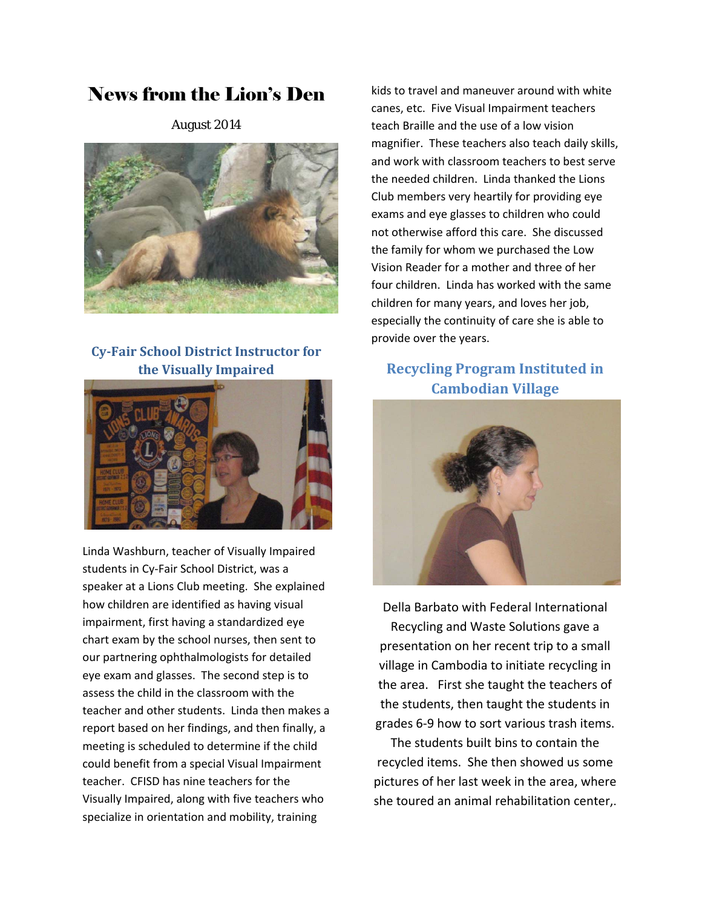# News from the Lion's Den

August 2014



### **Cy‐Fair School District Instructor for the Visually Impaired**



Linda Washburn, teacher of Visually Impaired students in Cy‐Fair School District, was a speaker at a Lions Club meeting. She explained how children are identified as having visual impairment, first having a standardized eye chart exam by the school nurses, then sent to our partnering ophthalmologists for detailed eye exam and glasses. The second step is to assess the child in the classroom with the teacher and other students. Linda then makes a report based on her findings, and then finally, a meeting is scheduled to determine if the child could benefit from a special Visual Impairment teacher. CFISD has nine teachers for the Visually Impaired, along with five teachers who specialize in orientation and mobility, training

kids to travel and maneuver around with white canes, etc. Five Visual Impairment teachers teach Braille and the use of a low vision magnifier. These teachers also teach daily skills, and work with classroom teachers to best serve the needed children. Linda thanked the Lions Club members very heartily for providing eye exams and eye glasses to children who could not otherwise afford this care. She discussed the family for whom we purchased the Low Vision Reader for a mother and three of her four children. Linda has worked with the same children for many years, and loves her job, especially the continuity of care she is able to provide over the years.

## **Recycling Program Instituted in Cambodian Village**



Della Barbato with Federal International Recycling and Waste Solutions gave a presentation on her recent trip to a small village in Cambodia to initiate recycling in the area. First she taught the teachers of the students, then taught the students in grades 6‐9 how to sort various trash items.

The students built bins to contain the recycled items. She then showed us some pictures of her last week in the area, where she toured an animal rehabilitation center,.